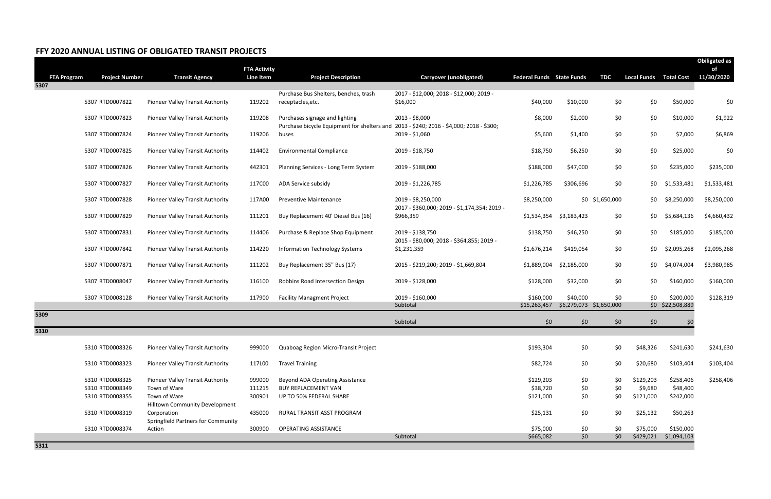## **FFY 2020 ANNUAL LISTING OF OBLIGATED TRANSIT PROJECTS**

|                    |                       |                                       |                                  |                                                                                         |                                              |                                  |              |                         |                    |                       | <b>Obiligated as</b> |
|--------------------|-----------------------|---------------------------------------|----------------------------------|-----------------------------------------------------------------------------------------|----------------------------------------------|----------------------------------|--------------|-------------------------|--------------------|-----------------------|----------------------|
| <b>FTA Program</b> | <b>Project Number</b> | <b>Transit Agency</b>                 | <b>FTA Activity</b><br>Line Item | <b>Project Description</b>                                                              | Carryover (unobligated)                      | <b>Federal Funds</b> State Funds |              | <b>TDC</b>              | <b>Local Funds</b> | <b>Total Cost</b>     | of<br>11/30/2020     |
| 5307               |                       |                                       |                                  |                                                                                         |                                              |                                  |              |                         |                    |                       |                      |
|                    |                       |                                       |                                  | Purchase Bus Shelters, benches, trash                                                   | 2017 - \$12,000; 2018 - \$12,000; 2019 -     |                                  |              |                         |                    |                       |                      |
|                    | 5307 RTD0007822       | Pioneer Valley Transit Authority      | 119202                           | receptacles, etc.                                                                       | \$16,000                                     | \$40,000                         | \$10,000     | \$0                     | \$0                | \$50,000              | \$0                  |
|                    | 5307 RTD0007823       | Pioneer Valley Transit Authority      | 119208                           | Purchases signage and lighting                                                          | 2013 - \$8,000                               | \$8,000                          | \$2,000      | \$0                     | \$0                | \$10,000              | \$1,922              |
|                    |                       |                                       |                                  | Purchase bicycle Equipment for shelters and 2013 - \$240; 2016 - \$4,000; 2018 - \$300; |                                              |                                  |              |                         |                    |                       |                      |
|                    | 5307 RTD0007824       | Pioneer Valley Transit Authority      | 119206                           | buses                                                                                   | 2019 - \$1,060                               | \$5,600                          | \$1,400      | \$0                     | \$0                | \$7,000               | \$6,869              |
|                    | 5307 RTD0007825       | Pioneer Valley Transit Authority      | 114402                           | <b>Environmental Compliance</b>                                                         | 2019 - \$18,750                              | \$18,750                         | \$6,250      | \$0                     | \$0                | \$25,000              | \$0                  |
|                    | 5307 RTD0007826       | Pioneer Valley Transit Authority      | 442301                           | Planning Services - Long Term System                                                    | 2019 - \$188,000                             | \$188,000                        | \$47,000     | \$0                     | \$0                | \$235,000             | \$235,000            |
|                    |                       |                                       |                                  |                                                                                         |                                              |                                  |              |                         |                    |                       |                      |
|                    | 5307 RTD0007827       | Pioneer Valley Transit Authority      | 117C00                           | ADA Service subsidy                                                                     | 2019 - \$1,226,785                           | \$1,226,785                      | \$306,696    | \$0                     | \$0                | \$1,533,481           | \$1,533,481          |
|                    | 5307 RTD0007828       | Pioneer Valley Transit Authority      | 117A00                           | <b>Preventive Maintenance</b>                                                           | 2019 - \$8,250,000                           | \$8,250,000                      |              | \$0 \$1,650,000         | \$0                | \$8,250,000           | \$8,250,000          |
|                    |                       |                                       |                                  |                                                                                         | 2017 - \$360,000; 2019 - \$1,174,354; 2019 - |                                  |              |                         |                    |                       |                      |
|                    | 5307 RTD0007829       | Pioneer Valley Transit Authority      | 111201                           | Buy Replacement 40' Diesel Bus (16)                                                     | \$966,359                                    | \$1,534,354                      | \$3,183,423  | \$0                     | \$0                | \$5,684,136           | \$4,660,432          |
|                    | 5307 RTD0007831       | Pioneer Valley Transit Authority      | 114406                           | Purchase & Replace Shop Equipment                                                       | 2019 - \$138,750                             | \$138,750                        | \$46,250     | \$0                     | \$0                | \$185,000             | \$185,000            |
|                    |                       |                                       |                                  |                                                                                         | 2015 - \$80,000; 2018 - \$364,855; 2019 -    |                                  |              |                         |                    |                       |                      |
|                    | 5307 RTD0007842       | Pioneer Valley Transit Authority      | 114220                           | <b>Information Technology Systems</b>                                                   | \$1,231,359                                  | \$1,676,214                      | \$419,054    | \$0                     | \$0                | \$2,095,268           | \$2,095,268          |
|                    | 5307 RTD0007871       | Pioneer Valley Transit Authority      | 111202                           | Buy Replacement 35" Bus (17)                                                            | 2015 - \$219,200; 2019 - \$1,669,804         | \$1,889,004                      | \$2,185,000  | \$0                     | \$0                | \$4,074,004           | \$3,980,985          |
|                    | 5307 RTD0008047       | Pioneer Valley Transit Authority      | 116100                           | Robbins Road Intersection Design                                                        | 2019 - \$128,000                             | \$128,000                        | \$32,000     | \$0                     | \$0                | \$160,000             | \$160,000            |
|                    | 5307 RTD0008128       | Pioneer Valley Transit Authority      | 117900                           | <b>Facility Managment Project</b>                                                       | 2019 - \$160,000                             | \$160,000                        | \$40,000     | \$0                     | \$0                | \$200,000             | \$128,319            |
|                    |                       |                                       |                                  |                                                                                         | Subtotal                                     | \$15,263,457                     |              | \$6,279,073 \$1,650,000 |                    | \$0 \$22,508,889      |                      |
| 5309               |                       |                                       |                                  |                                                                                         |                                              |                                  | \$0\$        |                         |                    |                       |                      |
| 5310               |                       |                                       |                                  |                                                                                         | Subtotal                                     | \$0                              |              | \$0                     | \$0                | \$0                   |                      |
|                    |                       |                                       |                                  |                                                                                         |                                              |                                  |              |                         |                    |                       |                      |
|                    | 5310 RTD0008326       | Pioneer Valley Transit Authority      | 999000                           | Quaboag Region Micro-Transit Project                                                    |                                              | \$193,304                        | \$0          | \$0                     | \$48,326           | \$241,630             | \$241,630            |
|                    | 5310 RTD0008323       | Pioneer Valley Transit Authority      | 117L00                           | <b>Travel Training</b>                                                                  |                                              | \$82,724                         | \$0          | \$0                     | \$20,680           | \$103,404             | \$103,404            |
|                    | 5310 RTD0008325       | Pioneer Valley Transit Authority      | 999000                           | Beyond ADA Operating Assistance                                                         |                                              | \$129,203                        | \$0          | \$0                     | \$129,203          | \$258,406             | \$258,406            |
|                    | 5310 RTD0008349       | Town of Ware                          | 111215                           | <b>BUY REPLACEMENT VAN</b>                                                              |                                              | \$38,720                         | \$0          | \$0                     | \$9,680            | \$48,400              |                      |
|                    | 5310 RTD0008355       | Town of Ware                          | 300901                           | UP TO 50% FEDERAL SHARE                                                                 |                                              | \$121,000                        | \$0          | \$0                     | \$121,000          | \$242,000             |                      |
|                    |                       | <b>Hilltown Community Development</b> |                                  |                                                                                         |                                              |                                  |              |                         |                    |                       |                      |
|                    | 5310 RTD0008319       | Corporation                           | 435000                           | RURAL TRANSIT ASST PROGRAM                                                              |                                              | \$25,131                         | \$0          | \$0                     | \$25,132           | \$50,263              |                      |
|                    |                       | Springfield Partners for Community    |                                  |                                                                                         |                                              | \$75,000                         |              |                         |                    | \$150,000             |                      |
|                    | 5310 RTD0008374       | Action                                | 300900                           | <b>OPERATING ASSISTANCE</b>                                                             | Subtotal                                     | \$665,082                        | \$0<br>\$0\$ | \$0<br>\$0\$            | \$75,000           | \$429,021 \$1,094,103 |                      |
|                    |                       |                                       |                                  |                                                                                         |                                              |                                  |              |                         |                    |                       |                      |